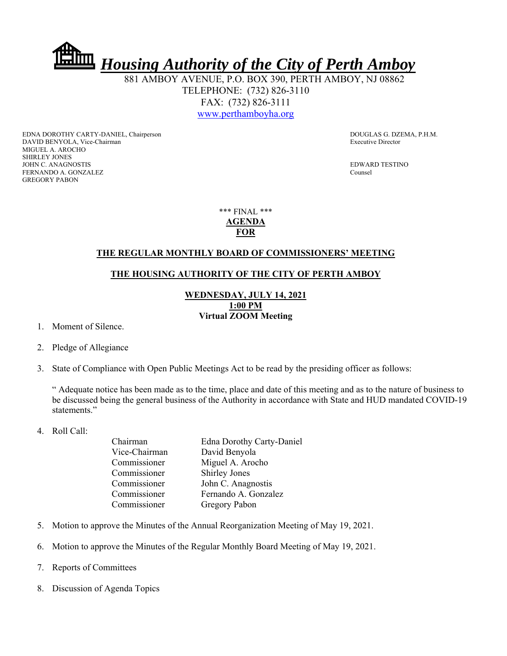

 881 AMBOY AVENUE, P.O. BOX 390, PERTH AMBOY, NJ 08862 TELEPHONE: (732) 826-3110 FAX: (732) 826-3111 www.perthamboyha.org

EDNA DOROTHY CARTY-DANIEL, Chairperson **DOUGLAS G. DZEMA, P.H.M.** DAVID BENYOLA, Vice-Chairman Executive Director MIGUEL A. AROCHO SHIRLEY JONES JOHN C. ANAGNOSTIS EDWARD TESTINO FERNANDO A. GONZALEZ Counsel GREGORY PABON

\*\*\* FINAL \*\*\* **AGENDA FOR** 

## **THE REGULAR MONTHLY BOARD OF COMMISSIONERS' MEETING**

## **THE HOUSING AUTHORITY OF THE CITY OF PERTH AMBOY**

**WEDNESDAY, JULY 14, 2021 1:00 PM Virtual ZOOM Meeting** 

- 1. Moment of Silence.
- 2. Pledge of Allegiance
- 3. State of Compliance with Open Public Meetings Act to be read by the presiding officer as follows:

" Adequate notice has been made as to the time, place and date of this meeting and as to the nature of business to be discussed being the general business of the Authority in accordance with State and HUD mandated COVID-19 statements."

4. Roll Call:

| Chairman      | <b>Edna Dorothy Carty-Daniel</b> |
|---------------|----------------------------------|
| Vice-Chairman | David Benyola                    |
| Commissioner  | Miguel A. Arocho                 |
| Commissioner  | <b>Shirley Jones</b>             |
| Commissioner  | John C. Anagnostis               |
| Commissioner  | Fernando A. Gonzalez             |
| Commissioner  | Gregory Pabon                    |

- 5. Motion to approve the Minutes of the Annual Reorganization Meeting of May 19, 2021.
- 6. Motion to approve the Minutes of the Regular Monthly Board Meeting of May 19, 2021.
- 7. Reports of Committees
- 8. Discussion of Agenda Topics